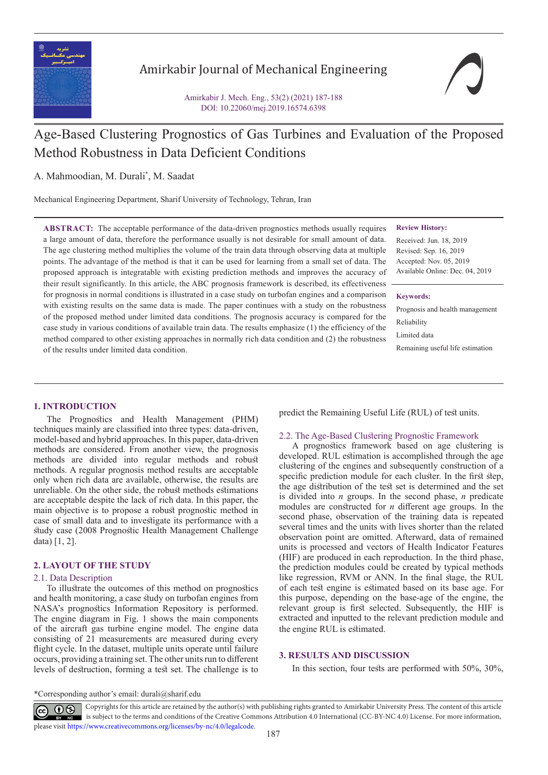

## Amirkabir Journal of Mechanical Engineering

Amirkabir J. Mech. Eng., 53(2) (2021) 187-188 DOI: 10.22060/mej.2019.16574.6398

# Age-Based Clustering Prognostics of Gas Turbines and Evaluation of the Proposed Method Robustness in Data Deficient Conditions

A. Mahmoodian, M. Durali\* , M. Saadat

Mechanical Engineering Department, Sharif University of Technology, Tehran, Iran

**ABSTRACT:** The acceptable performance of the data-driven prognostics methods usually requires a large amount of data, therefore the performance usually is not desirable for small amount of data. The age clustering method multiplies the volume of the train data through observing data at multiple points. The advantage of the method is that it can be used for learning from a small set of data. The proposed approach is integratable with existing prediction methods and improves the accuracy of their result significantly. In this article, the ABC prognosis framework is described, its effectiveness for prognosis in normal conditions is illustrated in a case study on turbofan engines and a comparison with existing results on the same data is made. The paper continues with a study on the robustness of the proposed method under limited data conditions. The prognosis accuracy is compared for the case study in various conditions of available train data. The results emphasize (1) the efficiency of the method compared to other existing approaches in normally rich data condition and (2) the robustness of the results under limited data condition.

#### **Review History:**

Received: Jun. 18, 2019 Revised: Sep. 16, 2019 Accepted: Nov. 05, 2019 Available Online: Dec. 04, 2019

#### **Keywords:**

Prognosis and health management Reliability Limited data Remaining useful life estimation

### **1. INTRODUCTION**

The Prognostics and Health Management (PHM) techniques mainly are classified into three types: data-driven, model-based and hybrid approaches. In this paper, data-driven methods are considered. From another view, the prognosis methods are divided into regular methods and robust methods. A regular prognosis method results are acceptable only when rich data are available, otherwise, the results are unreliable. On the other side, the robust methods estimations are acceptable despite the lack of rich data. In this paper, the main objective is to propose a robust prognostic method in case of small data and to investigate its performance with a study case (2008 Prognostic Health Management Challenge data) [1, 2].

#### **2. LAYOUT OF THE STUDY**

#### 2.1. Data Description

To illustrate the outcomes of this method on prognostics and health monitoring, a case study on turbofan engines from NASA's prognostics Information Repository is performed. The engine diagram in Fig. 1 shows the main components of the aircraft gas turbine engine model. The engine data consisting of 21 measurements are measured during every flight cycle. In the dataset, multiple units operate until failure occurs, providing a training set. The other units run to different levels of destruction, forming a test set. The challenge is to predict the Remaining Useful Life (RUL) of test units.

#### 2.2. The Age-Based Clustering Prognostic Framework

A prognostics framework based on age clustering is developed. RUL estimation is accomplished through the age clustering of the engines and subsequently construction of a specific prediction module for each cluster. In the first step, the age distribution of the test set is determined and the set is divided into *n* groups. In the second phase, *n* predicate modules are constructed for *n* different age groups. In the second phase, observation of the training data is repeated several times and the units with lives shorter than the related observation point are omitted. Afterward, data of remained units is processed and vectors of Health Indicator Features (HIF) are produced in each reproduction. In the third phase, the prediction modules could be created by typical methods like regression, RVM or ANN. In the final stage, the RUL of each test engine is estimated based on its base age. For this purpose, depending on the base-age of the engine, the relevant group is first selected. Subsequently, the HIF is extracted and inputted to the relevant prediction module and the engine RUL is estimated.

#### **3. RESULTS AND DISCUSSION**

In this section, four tests are performed with 50%, 30%,

\*Corresponding author's email: durali@sharif.edu

 Copyrights for this article are retained by the author(s) with publishing rights granted to Amirkabir University Press. The content of this article is subject to the terms and conditions of the Creative Commons Attribution 4.0 International (CC-BY-NC 4.0) License. For more information, please visit https://www.creativecommons.org/licenses/by-nc/4.0/legalcode.